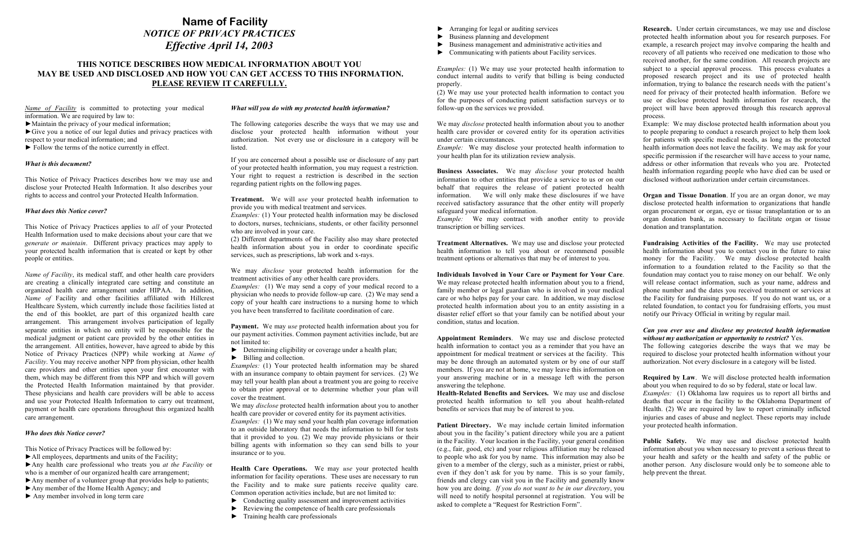*Name of Facility* is committed to protecting your medical information. We are required by law to:

►Maintain the privacy of your medical information;

►Give you a notice of our legal duties and privacy practices with respect to your medical information; and

 $\blacktriangleright$  Follow the terms of the notice currently in effect.

#### *What is this document?*

This Notice of Privacy Practices describes how we may use and disclose your Protected Health Information. It also describes your rights to access and control your Protected Health Information.

#### *What does this Notice cover?*

This Notice of Privacy Practices applies to *all* of your Protected Health Information used to make decisions about your care that we *generate or maintain*. Different privacy practices may apply to your protected health information that is created or kept by other people or entities.

*Name of Facility*, its medical staff, and other health care providers are creating a clinically integrated care setting and constitute an organized health care arrangement under HIPAA. In addition, *Name of* Facility and other facilities affiliated with Hillcrest Healthcare System, which currently include those facilities listed at the end of this booklet, are part of this organized health care arrangement. This arrangement involves participation of legally separate entities in which no entity will be responsible for the medical judgment or patient care provided by the other entities in the arrangement. All entities, however, have agreed to abide by this Notice of Privacy Practices (NPP) while working at *Name of Facility*. You may receive another NPP from physician, other health care providers and other entities upon your first encounter with them, which may be different from this NPP and which will govern the Protected Health Information maintained by that provider. These physicians and health care providers will be able to access and use your Protected Health Information to carry out treatment, payment or health care operations throughout this organized health care arrangement.

*Examples:* (1) We may send a copy of your medical record to a physician who needs to provide follow-up care. (2) We may send a copy of your health care instructions to a nursing home to which you have been transferred to facilitate coordination of care.

### *Who does this Notice cover?*

This Notice of Privacy Practices will be followed by:

*Examples:* (1) Your protected health information may be shared with an insurance company to obtain payment for services. (2) We may tell your health plan about a treatment you are going to receive to obtain prior approval or to determine whether your plan will cover the treatment.

►All employees, departments and units of the Facility;

►Any health care professional who treats you *at the Facility* or who is a member of our organized health care arrangement;

- ►Any member of a volunteer group that provides help to patients;
- ►Any member of the Home Health Agency; and
- ► Any member involved in long term care

#### *What will you do with my protected health information?*

- ► Conducting quality assessment and improvement activities
- $\blacktriangleright$  Reviewing the competence of health care professionals
- $\blacktriangleright$  Training health care professionals

The following categories describe the ways that we may use and disclose your protected health information without your authorization. Not every use or disclosure in a category will be listed.

If you are concerned about a possible use or disclosure of any part of your protected health information, you may request a restriction. Your right to request a restriction is described in the section regarding patient rights on the following pages.

**Treatment.** We will *use* your protected health information to provide you with medical treatment and services.

*Examples:* (1) Your protected health information may be disclosed to doctors, nurses, technicians, students, or other facility personnel who are involved in your care.

*Example:* We may contract with another entity to provide transcription or billing services.

(2) Different departments of the Facility also may share protected health information about you in order to coordinate specific services, such as prescriptions, lab work and x-rays.

We may *disclose* your protected health information for the treatment activities of any other health care providers.

**Payment.** We may *use* protected health information about you for our payment activities. Common payment activities include, but are not limited to:

- ► Determining eligibility or coverage under a health plan;
- ► Billing and collection.

We may *disclose* protected health information about you to another health care provider or covered entity for its payment activities.

*Examples:* (1) We may send your health plan coverage information to an outside laboratory that needs the information to bill for tests that it provided to you. (2) We may provide physicians or their billing agents with information so they can send bills to your insurance or to you.

**Health Care Operations.** We may *use* your protected health information for facility operations. These uses are necessary to run the Facility and to make sure patients receive quality care. Common operation activities include, but are not limited to:

- ► Arranging for legal or auditing services
- Business planning and development
- Business management and administrative activities and
- ► Communicating with patients about Facility services.

*Examples:* (1) We may use your protected health information to conduct internal audits to verify that billing is being conducted properly.

(2) We may use your protected health information to contact you for the purposes of conducting patient satisfaction surveys or to follow-up on the services we provided.

We may *disclose* protected health information about you to another health care provider or covered entity for its operation activities under certain circumstances.

Patient Directory. We may include certain limited information about you in the facility's patient directory while you are a patient in the Facility. Your location in the Facility, your general condition (e.g., fair, good, etc) and your religious affiliation may be released to people who ask for you by name. This information may also be given to a member of the clergy, such as a minister, priest or rabbi, even if they don't ask for you by name. This is so your family, friends and clergy can visit you in the Facility and generally know how you are doing. *If you do not want to be in our directory*, you will need to notify hospital personnel at registration. You will be asked to complete a "Request for Restriction Form". Public Safety. We may use and disclose protected health information about you when necessary to prevent a serious threat to your health and safety or the health and safety of the public or another person. Any disclosure would only be to someone able to help prevent the threat.

*Example:* We may disclose your protected health information to your health plan for its utilization review analysis.

**Business Associates.** We may *disclose* your protected health information to other entities that provide a service to us or on our behalf that requires the release of patient protected health information. We will only make these disclosures if we have received satisfactory assurance that the other entity will properly safeguard your medical information.

**Treatment Alternatives.** We may use and disclose your protected health information to tell you about or recommend possible treatment options or alternatives that may be of interest to you.

**Individuals Involved in Your Care or Payment for Your Care**. We may release protected health information about you to a friend, family member or legal guardian who is involved in your medical care or who helps pay for your care. In addition, we may disclose protected health information about you to an entity assisting in a disaster relief effort so that your family can be notified about your condition, status and location.

**Health-Related Benefits and Services.** We may use and disclose protected health information to tell you about health-related benefits or services that may be of interest to you.

**Research.** Under certain circumstances, we may use and disclose protected health information about you for research purposes. For example, a research project may involve comparing the health and recovery of all patients who received one medication to those who received another, for the same condition. All research projects are subject to a special approval process. This process evaluates a proposed research project and its use of protected health information, trying to balance the research needs with the patient's need for privacy of their protected health information. Before we use or disclose protected health information for research, the project will have been approved through this research approval process.

**Appointment Reminders**. We may use and disclose protected health information to contact you as a reminder that you have an appointment for medical treatment or services at the facility. This may be done through an automated system or by one of our staff members. If you are not at home, we may leave this information on your answering machine or in a message left with the person answering the telephone. The following categories describe the ways that we may be required to disclose your protected health information without your authorization. Not every disclosure in a category will be listed. **Required by Law**. We will disclose protected health information about you when required to do so by federal, state or local law.

- Example: We may disclose protected health information about you to people preparing to conduct a research project to help them look for patients with specific medical needs, as long as the protected health information does not leave the facility. We may ask for your specific permission if the researcher will have access to your name, address or other information that reveals who you are. Protected health information regarding people who have died can be used or disclosed without authorization under certain circumstances.
- **Organ and Tissue Donation**. If you are an organ donor, we may disclose protected health information to organizations that handle organ procurement or organ, eye or tissue transplantation or to an organ donation bank, as necessary to facilitate organ or tissue donation and transplantation.
- **Fundraising Activities of the Facility.** We may use protected health information about you to contact you in the future to raise money for the Facility. We may disclose protected health information to a foundation related to the Facility so that the foundation may contact you to raise money on our behalf. We only will release contact information, such as your name, address and phone number and the dates you received treatment or services at the Facility for fundraising purposes. If you do not want us, or a related foundation, to contact you for fundraising efforts, you must notify our Privacy Official in writing by regular mail.

## *Can you ever use and disclose my protected health information without my authorization or opportunity to restrict?* Yes.

- 
- *Examples:* (1) Oklahoma law requires us to report all births and deaths that occur in the facility to the Oklahoma Department of Health. (2) We are required by law to report criminally inflicted injuries and cases of abuse and neglect. These reports may include your protected health information.

# **Name of Facility**  *NOTICE OF PRIVACY PRACTICES Effective April 14, 2003*

## **THIS NOTICE DESCRIBES HOW MEDICAL INFORMATION ABOUT YOU MAY BE USED AND DISCLOSED AND HOW YOU CAN GET ACCESS TO THIS INFORMATION. PLEASE REVIEW IT CAREFULLY.**